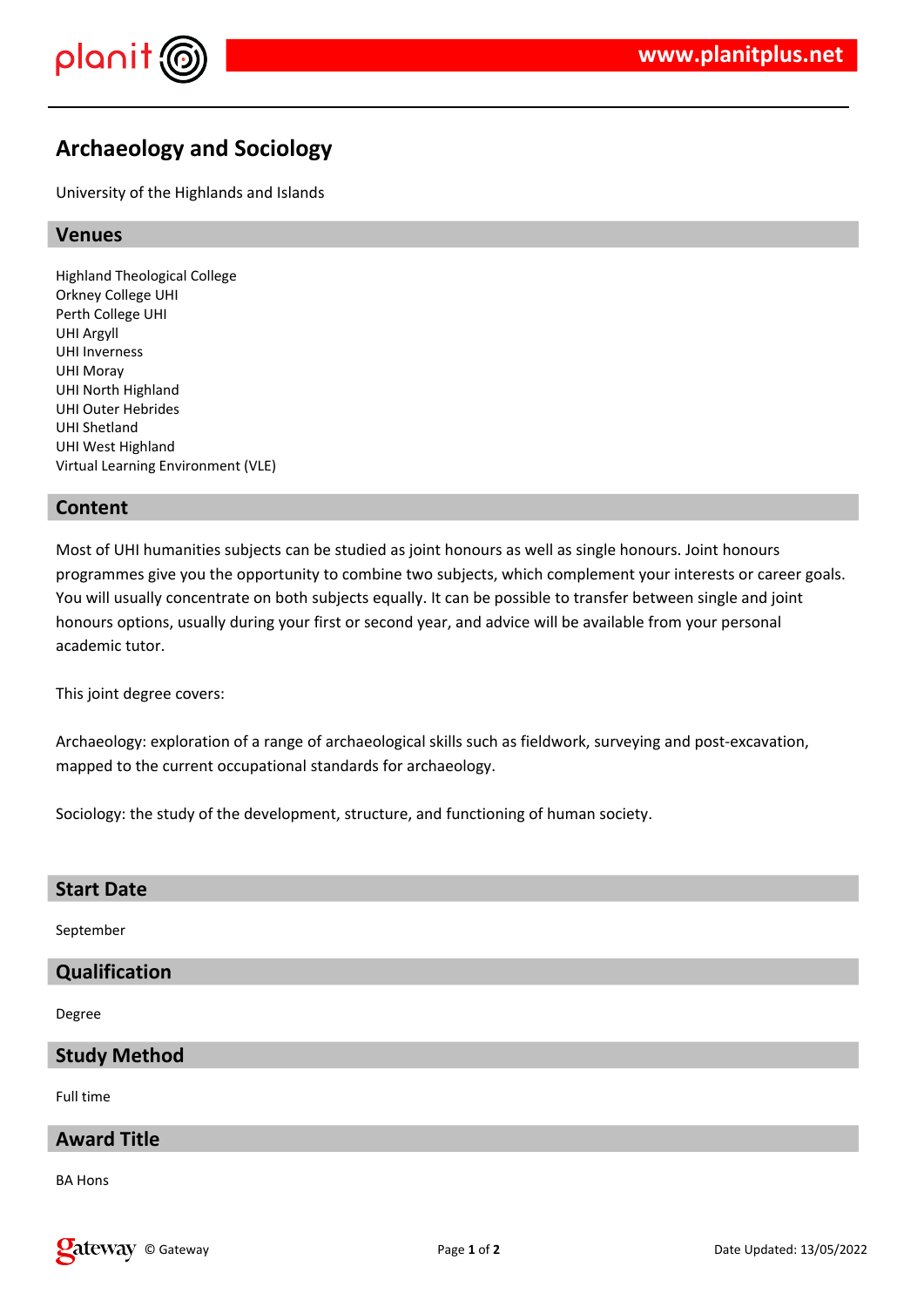

# **Archaeology and Sociology**

University of the Highlands and Islands

# **Venues**

Highland Theological College Orkney College UHI Perth College UHI UHI Argyll UHI Inverness UHI Moray UHI North Highland UHI Outer Hebrides UHI Shetland UHI West Highland Virtual Learning Environment (VLE)

#### **Content**

Most of UHI humanities subjects can be studied as joint honours as well as single honours. Joint honours programmes give you the opportunity to combine two subjects, which complement your interests or career goals. You will usually concentrate on both subjects equally. It can be possible to transfer between single and joint honours options, usually during your first or second year, and advice will be available from your personal academic tutor.

This joint degree covers:

Archaeology: exploration of a range of archaeological skills such as fieldwork, surveying and post-excavation, mapped to the current occupational standards for archaeology.

Sociology: the study of the development, structure, and functioning of human society.

| <b>Start Date</b>   |
|---------------------|
| September           |
| Qualification       |
| Degree              |
| <b>Study Method</b> |
| Full time           |

# **Award Title**

BA Hons